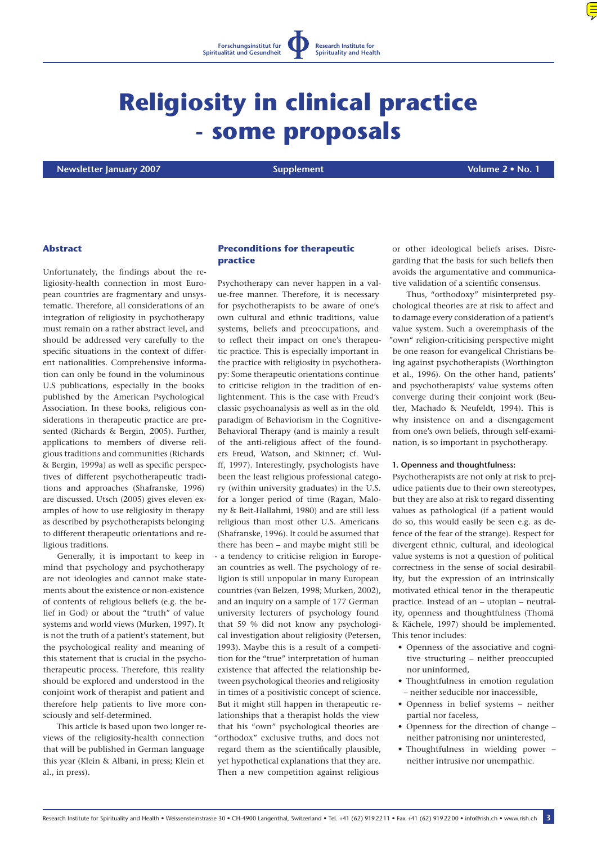

# **Religiosity in clinical practice - some proposals**

 **Newsletter January 2007 Supplement Volume 2 • No. 1**

## **Abstract**

Unfortunately, the findings about the religiosity-health connection in most European countries are fragmentary and unsystematic. Therefore, all considerations of an integration of religiosity in psychotherapy must remain on a rather abstract level, and should be addressed very carefully to the specific situations in the context of different nationalities. Comprehensive information can only be found in the voluminous U.S publications, especially in the books published by the American Psychological Association. In these books, religious considerations in therapeutic practice are presented (Richards & Bergin, 2005). Further, applications to members of diverse religious traditions and communities (Richards & Bergin, 1999a) as well as specific perspectives of different psychotherapeutic traditions and approaches (Shafranske, 1996) are discussed. Utsch (2005) gives eleven examples of how to use religiosity in therapy as described by psychotherapists belonging to different therapeutic orientations and religious traditions.

Generally, it is important to keep in mind that psychology and psychotherapy are not ideologies and cannot make statements about the existence or non-existence of contents of religious beliefs (e.g. the belief in God) or about the "truth" of value systems and world views (Murken, 1997). It is not the truth of a patient's statement, but the psychological reality and meaning of this statement that is crucial in the psychotherapeutic process. Therefore, this reality should be explored and understood in the conjoint work of therapist and patient and therefore help patients to live more consciously and self-determined.

This article is based upon two longer reviews of the religiosity-health connection that will be published in German language this year (Klein & Albani, in press; Klein et al., in press).

## **Preconditions for therapeutic practice**

Psychotherapy can never happen in a value-free manner. Therefore, it is necessary for psychotherapists to be aware of one's own cultural and ethnic traditions, value systems, beliefs and preoccupations, and to reflect their impact on one's therapeutic practice. This is especially important in the practice with religiosity in psychotherapy: Some therapeutic orientations continue to criticise religion in the tradition of enlightenment. This is the case with Freud's classic psychoanalysis as well as in the old paradigm of Behaviorism in the Cognitive-Behavioral Therapy (and is mainly a result of the anti-religious affect of the founders Freud, Watson, and Skinner; cf. Wulff, 1997). Interestingly, psychologists have been the least religious professional category (within university graduates) in the U.S. for a longer period of time (Ragan, Malony & Beit-Hallahmi, 1980) and are still less religious than most other U.S. Americans (Shafranske, 1996). It could be assumed that there has been – and maybe might still be - a tendency to criticise religion in European countries as well. The psychology of religion is still unpopular in many European countries (van Belzen, 1998; Murken, 2002), and an inquiry on a sample of 177 German university lecturers of psychology found that 59 % did not know any psychological investigation about religiosity (Petersen, 1993). Maybe this is a result of a competition for the "true" interpretation of human existence that affected the relationship between psychological theories and religiosity in times of a positivistic concept of science. But it might still happen in therapeutic relationships that a therapist holds the view that his "own" psychological theories are "orthodox" exclusive truths, and does not regard them as the scientifically plausible, yet hypothetical explanations that they are. Then a new competition against religious

or other ideological beliefs arises. Disregarding that the basis for such beliefs then avoids the argumentative and communicative validation of a scientific consensus.

Thus, "orthodoxy" misinterpreted psychological theories are at risk to affect and to damage every consideration of a patient's value system. Such a overemphasis of the "own" religion-criticising perspective might be one reason for evangelical Christians being against psychotherapists (Worthington et al., 1996). On the other hand, patients' and psychotherapists' value systems often converge during their conjoint work (Beutler, Machado & Neufeldt, 1994). This is why insistence on and a disengagement from one's own beliefs, through self-examination, is so important in psychotherapy.

#### **1. Openness and thoughtfulness:**

Psychotherapists are not only at risk to prejudice patients due to their own stereotypes, but they are also at risk to regard dissenting values as pathological (if a patient would do so, this would easily be seen e.g. as defence of the fear of the strange). Respect for divergent ethnic, cultural, and ideological value systems is not a question of political correctness in the sense of social desirability, but the expression of an intrinsically motivated ethical tenor in the therapeutic practice. Instead of an – utopian – neutrality, openness and thoughtfulness (Thomä & Kächele, 1997) should be implemented. This tenor includes:

- Openness of the associative and cognitive structuring – neither preoccupied nor uninformed,
- Thoughtfulness in emotion regulation – neither seducible nor inaccessible,
- Openness in belief systems neither partial nor faceless,
- Openness for the direction of change neither patronising nor uninterested,
- Thoughtfulness in wielding power neither intrusive nor unempathic.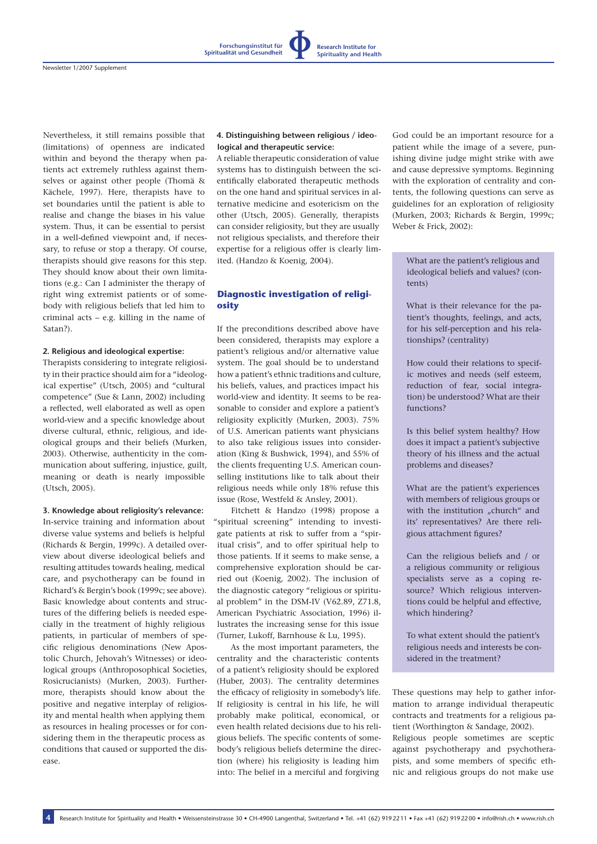Nevertheless, it still remains possible that (limitations) of openness are indicated within and beyond the therapy when patients act extremely ruthless against themselves or against other people (Thomä & Kächele, 1997). Here, therapists have to set boundaries until the patient is able to realise and change the biases in his value system. Thus, it can be essential to persist in a well-defined viewpoint and, if necessary, to refuse or stop a therapy. Of course, therapists should give reasons for this step. They should know about their own limitations (e.g.: Can I administer the therapy of right wing extremist patients or of somebody with religious beliefs that led him to criminal acts – e.g. killing in the name of Satan?).

#### **2. Religious and ideological expertise:**

Therapists considering to integrate religiosity in their practice should aim for a "ideological expertise" (Utsch, 2005) and "cultural competence" (Sue & Lann, 2002) including a reflected, well elaborated as well as open world-view and a specific knowledge about diverse cultural, ethnic, religious, and ideological groups and their beliefs (Murken, 2003). Otherwise, authenticity in the communication about suffering, injustice, guilt, meaning or death is nearly impossible (Utsch, 2005).

#### **3. Knowledge about religiosity's relevance:**

In-service training and information about diverse value systems and beliefs is helpful (Richards & Bergin, 1999c). A detailed overview about diverse ideological beliefs and resulting attitudes towards healing, medical care, and psychotherapy can be found in Richard's & Bergin's book (1999c; see above). Basic knowledge about contents and structures of the differing beliefs is needed especially in the treatment of highly religious patients, in particular of members of specific religious denominations (New Apostolic Church, Jehovah's Witnesses) or ideological groups (Anthroposophical Societies, Rosicrucianists) (Murken, 2003). Furthermore, therapists should know about the positive and negative interplay of religiosity and mental health when applying them as resources in healing processes or for considering them in the therapeutic process as conditions that caused or supported the disease.

**4**

#### **4. Distinguishing between religious / ideological and therapeutic service:**

**Forschungsinstitut für Spiritualität und Gesundheit**

**Research Institute for Spirituality and Health**

A reliable therapeutic consideration of value systems has to distinguish between the scientifically elaborated therapeutic methods on the one hand and spiritual services in alternative medicine and esotericism on the other (Utsch, 2005). Generally, therapists can consider religiosity, but they are usually not religious specialists, and therefore their expertise for a religious offer is clearly limited. (Handzo & Koenig, 2004).

## **Diagnostic investigation of religiosity**

If the preconditions described above have been considered, therapists may explore a patient's religious and/or alternative value system. The goal should be to understand how a patient's ethnic traditions and culture, his beliefs, values, and practices impact his world-view and identity. It seems to be reasonable to consider and explore a patient's religiosity explicitly (Murken, 2003). 75% of U.S. American patients want physicians to also take religious issues into consideration (King & Bushwick, 1994), and 55% of the clients frequenting U.S. American counselling institutions like to talk about their religious needs while only 18% refuse this issue (Rose, Westfeld & Ansley, 2001).

Fitchett & Handzo (1998) propose a "spiritual screening" intending to investigate patients at risk to suffer from a "spiritual crisis", and to offer spiritual help to those patients. If it seems to make sense, a comprehensive exploration should be carried out (Koenig, 2002). The inclusion of the diagnostic category "religious or spiritual problem" in the DSM-IV (V62.89, Z71.8, American Psychiatric Association, 1996) illustrates the increasing sense for this issue (Turner, Lukoff, Barnhouse & Lu, 1995).

As the most important parameters, the centrality and the characteristic contents of a patient's religiosity should be explored (Huber, 2003). The centrality determines the efficacy of religiosity in somebody's life. If religiosity is central in his life, he will probably make political, economical, or even health related decisions due to his religious beliefs. The specific contents of somebody's religious beliefs determine the direction (where) his religiosity is leading him into: The belief in a merciful and forgiving

God could be an important resource for a patient while the image of a severe, punishing divine judge might strike with awe and cause depressive symptoms. Beginning with the exploration of centrality and contents, the following questions can serve as guidelines for an exploration of religiosity (Murken, 2003; Richards & Bergin, 1999c; Weber & Frick, 2002):

What are the patient's religious and ideological beliefs and values? (contents)

What is their relevance for the patient's thoughts, feelings, and acts, for his self-perception and his relationships? (centrality)

How could their relations to specific motives and needs (self esteem, reduction of fear, social integration) be understood? What are their functions?

Is this belief system healthy? How does it impact a patient's subjective theory of his illness and the actual problems and diseases?

What are the patient's experiences with members of religious groups or with the institution "church" and its' representatives? Are there religious attachment figures?

Can the religious beliefs and / or a religious community or religious specialists serve as a coping resource? Which religious interventions could be helpful and effective, which hindering?

To what extent should the patient's religious needs and interests be considered in the treatment?

These questions may help to gather information to arrange individual therapeutic contracts and treatments for a religious patient (Worthington & Sandage, 2002). Religious people sometimes are sceptic against psychotherapy and psychotherapists, and some members of specific eth-

nic and religious groups do not make use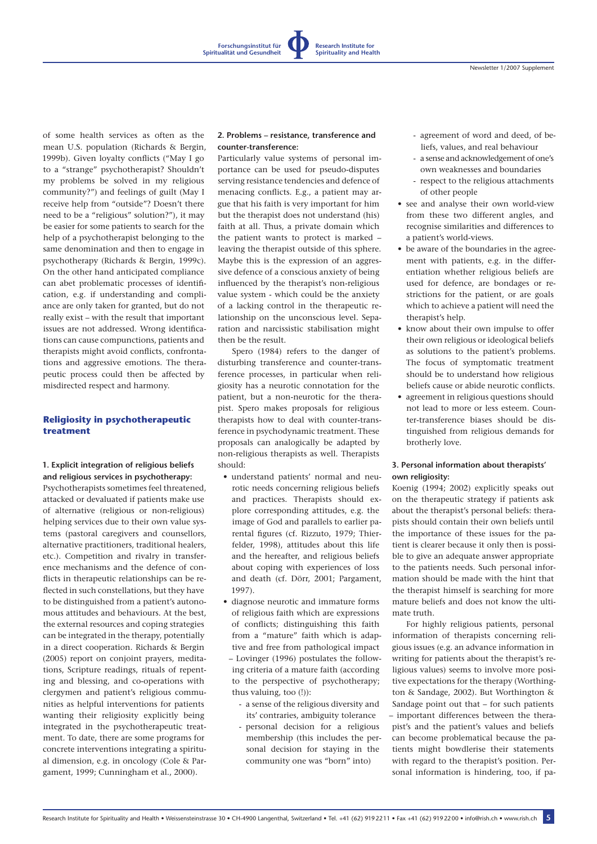**Forschungsinstitut für Spiritualität und Gesundheit**

of some health services as often as the mean U.S. population (Richards & Bergin, 1999b). Given loyalty conflicts ("May I go to a "strange" psychotherapist? Shouldn't my problems be solved in my religious community?") and feelings of guilt (May I receive help from "outside"? Doesn't there need to be a "religious" solution?"), it may be easier for some patients to search for the help of a psychotherapist belonging to the same denomination and then to engage in psychotherapy (Richards & Bergin, 1999c). On the other hand anticipated compliance can abet problematic processes of identification, e.g. if understanding and compliance are only taken for granted, but do not really exist – with the result that important issues are not addressed. Wrong identifications can cause compunctions, patients and therapists might avoid conflicts, confrontations and aggressive emotions. The therapeutic process could then be affected by misdirected respect and harmony.

## **Religiosity in psychotherapeutic treatment**

## **1. Explicit integration of religious beliefs and religious services in psychotherapy:**

Psychotherapists sometimes feel threatened, attacked or devaluated if patients make use of alternative (religious or non-religious) helping services due to their own value systems (pastoral caregivers and counsellors, alternative practitioners, traditional healers, etc.). Competition and rivalry in transference mechanisms and the defence of conflicts in therapeutic relationships can be reflected in such constellations, but they have to be distinguished from a patient's autonomous attitudes and behaviours. At the best, the external resources and coping strategies can be integrated in the therapy, potentially in a direct cooperation. Richards & Bergin (2005) report on conjoint prayers, meditations, Scripture readings, rituals of repenting and blessing, and co-operations with clergymen and patient's religious communities as helpful interventions for patients wanting their religiosity explicitly being integrated in the psychotherapeutic treatment. To date, there are some programs for concrete interventions integrating a spiritual dimension, e.g. in oncology (Cole & Pargament, 1999; Cunningham et al., 2000).

## **2. Problems – resistance, transference and counter-transference:**

**Research Institute for Spirituality and Health**

Particularly value systems of personal importance can be used for pseudo-disputes serving resistance tendencies and defence of menacing conflicts. E.g., a patient may argue that his faith is very important for him but the therapist does not understand (his) faith at all. Thus, a private domain which the patient wants to protect is marked – leaving the therapist outside of this sphere. Maybe this is the expression of an aggressive defence of a conscious anxiety of being influenced by the therapist's non-religious value system - which could be the anxiety of a lacking control in the therapeutic relationship on the unconscious level. Separation and narcissistic stabilisation might then be the result.

Spero (1984) refers to the danger of disturbing transference and counter-transference processes, in particular when religiosity has a neurotic connotation for the patient, but a non-neurotic for the therapist. Spero makes proposals for religious therapists how to deal with counter-transference in psychodynamic treatment. These proposals can analogically be adapted by non-religious therapists as well. Therapists should:

- understand patients' normal and neurotic needs concerning religious beliefs and practices. Therapists should explore corresponding attitudes, e.g. the image of God and parallels to earlier parental figures (cf. Rizzuto, 1979; Thierfelder, 1998), attitudes about this life and the hereafter, and religious beliefs about coping with experiences of loss and death (cf. Dörr, 2001; Pargament, 1997).
- diagnose neurotic and immature forms of religious faith which are expressions of conflicts; distinguishing this faith from a "mature" faith which is adaptive and free from pathological impact
- Lovinger (1996) postulates the following criteria of a mature faith (according to the perspective of psychotherapy; thus valuing, too (!)):
	- a sense of the religious diversity and its' contraries, ambiguity tolerance
	- personal decision for a religious membership (this includes the personal decision for staying in the community one was "born" into)
- agreement of word and deed, of beliefs, values, and real behaviour
- a sense and acknowledgement of one's own weaknesses and boundaries
- respect to the religious attachments of other people
- see and analyse their own world-view from these two different angles, and recognise similarities and differences to a patient's world-views.
- be aware of the boundaries in the agreement with patients, e.g. in the differentiation whether religious beliefs are used for defence, are bondages or restrictions for the patient, or are goals which to achieve a patient will need the therapist's help.
- know about their own impulse to offer their own religious or ideological beliefs as solutions to the patient's problems. The focus of symptomatic treatment should be to understand how religious beliefs cause or abide neurotic conflicts.
- agreement in religious questions should not lead to more or less esteem. Counter-transference biases should be distinguished from religious demands for brotherly love.

## **3. Personal information about therapists' own religiosity:**

Koenig (1994; 2002) explicitly speaks out on the therapeutic strategy if patients ask about the therapist's personal beliefs: therapists should contain their own beliefs until the importance of these issues for the patient is clearer because it only then is possible to give an adequate answer appropriate to the patients needs. Such personal information should be made with the hint that the therapist himself is searching for more mature beliefs and does not know the ultimate truth.

For highly religious patients, personal information of therapists concerning religious issues (e.g. an advance information in writing for patients about the therapist's religious values) seems to involve more positive expectations for the therapy (Worthington & Sandage, 2002). But Worthington & Sandage point out that – for such patients – important differences between the therapist's and the patient's values and beliefs can become problematical because the patients might bowdlerise their statements with regard to the therapist's position. Personal information is hindering, too, if pa-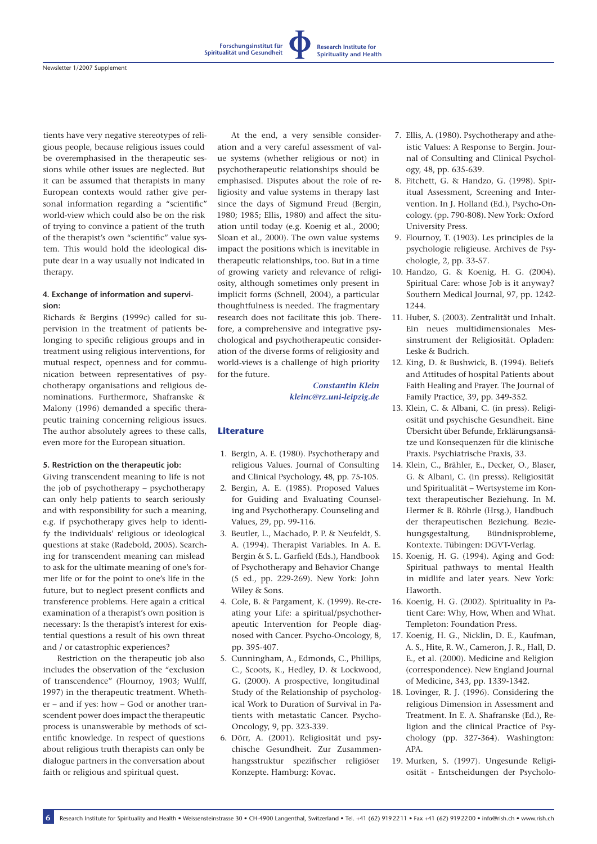tients have very negative stereotypes of religious people, because religious issues could be overemphasised in the therapeutic sessions while other issues are neglected. But it can be assumed that therapists in many European contexts would rather give personal information regarding a "scientific" world-view which could also be on the risk of trying to convince a patient of the truth of the therapist's own "scientific" value system. This would hold the ideological dispute dear in a way usually not indicated in therapy.

## **4. Exchange of information and supervision:**

Richards & Bergins (1999c) called for supervision in the treatment of patients belonging to specific religious groups and in treatment using religious interventions, for mutual respect, openness and for communication between representatives of psychotherapy organisations and religious denominations. Furthermore, Shafranske & Malony (1996) demanded a specific therapeutic training concerning religious issues. The author absolutely agrees to these calls, even more for the European situation.

## **5. Restriction on the therapeutic job:**

Giving transcendent meaning to life is not the job of psychotherapy – psychotherapy can only help patients to search seriously and with responsibility for such a meaning, e.g. if psychotherapy gives help to identify the individuals' religious or ideological questions at stake (Radebold, 2005). Searching for transcendent meaning can mislead to ask for the ultimate meaning of one's former life or for the point to one's life in the future, but to neglect present conflicts and transference problems. Here again a critical examination of a therapist's own position is necessary: Is the therapist's interest for existential questions a result of his own threat and / or catastrophic experiences?

Restriction on the therapeutic job also includes the observation of the "exclusion of transcendence" (Flournoy, 1903; Wulff, 1997) in the therapeutic treatment. Whether – and if yes: how – God or another transcendent power does impact the therapeutic process is unanswerable by methods of scientific knowledge. In respect of questions about religious truth therapists can only be dialogue partners in the conversation about faith or religious and spiritual quest.

At the end, a very sensible consideration and a very careful assessment of value systems (whether religious or not) in psychotherapeutic relationships should be emphasised. Disputes about the role of religiosity and value systems in therapy last since the days of Sigmund Freud (Bergin, 1980; 1985; Ellis, 1980) and affect the situation until today (e.g. Koenig et al., 2000; Sloan et al., 2000). The own value systems impact the positions which is inevitable in therapeutic relationships, too. But in a time of growing variety and relevance of religiosity, although sometimes only present in implicit forms (Schnell, 2004), a particular thoughtfulness is needed. The fragmentary research does not facilitate this job. Therefore, a comprehensive and integrative psychological and psychotherapeutic consideration of the diverse forms of religiosity and world-views is a challenge of high priority for the future.

> *Constantin Klein [kleinc@rz.uni-leipzig.de](mailto:kleinc@rz.uni-leipzig.de)*

**Research Institute for Spirituality and Health**

## **Literature**

**Forschungsinstitut für Spiritualität und Gesundheit**

- 1. Bergin, A. E. (1980). Psychotherapy and religious Values. Journal of Consulting and Clinical Psychology, 48, pp. 75-105.
- 2. Bergin, A. E. (1985). Proposed Values for Guiding and Evaluating Counseling and Psychotherapy. Counseling and Values, 29, pp. 99-116.
- 3. Beutler, L., Machado, P. P. & Neufeldt, S. A. (1994). Therapist Variables. In A. E. Bergin & S. L. Garfield (Eds.), Handbook of Psychotherapy and Behavior Change (5 ed., pp. 229-269). New York: John Wiley & Sons.
- 4. Cole, B. & Pargament, K. (1999). Re-creating your Life: a spiritual/psychotherapeutic Intervention for People diagnosed with Cancer. Psycho-Oncology, 8, pp. 395-407.
- 5. Cunningham, A., Edmonds, C., Phillips, C., Scoots, K., Hedley, D. & Lockwood, G. (2000). A prospective, longitudinal Study of the Relationship of psychological Work to Duration of Survival in Patients with metastatic Cancer. Psycho-Oncology, 9, pp. 323-339.
- 6. Dörr, A. (2001). Religiosität und psychische Gesundheit. Zur Zusammenhangsstruktur spezifischer religiöser Konzepte. Hamburg: Kovac.
- 7. Ellis, A. (1980). Psychotherapy and atheistic Values: A Response to Bergin. Journal of Consulting and Clinical Psychology, 48, pp. 635-639.
- 8. Fitchett, G. & Handzo, G. (1998). Spiritual Assessment, Screening and Intervention. In J. Holland (Ed.), Psycho-Oncology. (pp. 790-808). New York: Oxford University Press.
- 9. Flournoy, T. (1903). Les principles de la psychologie religieuse. Archives de Psychologie, 2, pp. 33-57.
- 10. Handzo, G. & Koenig, H. G. (2004). Spiritual Care: whose Job is it anyway? Southern Medical Journal, 97, pp. 1242- 1244.
- 11. Huber, S. (2003). Zentralität und Inhalt. Ein neues multidimensionales Messinstrument der Religiosität. Opladen: Leske & Budrich.
- 12. King, D. & Bushwick, B. (1994). Beliefs and Attitudes of hospital Patients about Faith Healing and Prayer. The Journal of Family Practice, 39, pp. 349-352.
- 13. Klein, C. & Albani, C. (in press). Religiosität und psychische Gesundheit. Eine Übersicht über Befunde, Erklärungsansätze und Konsequenzen für die klinische Praxis. Psychiatrische Praxis, 33.
- 14. Klein, C., Brähler, E., Decker, O., Blaser, G. & Albani, C. (in presss). Religiosität und Spiritualität – Wertsysteme im Kontext therapeutischer Beziehung. In M. Hermer & B. Röhrle (Hrsg.), Handbuch der therapeutischen Beziehung. Beziehungsgestaltung, Bündnisprobleme, Kontexte. Tübingen: DGVT-Verlag.
- 15. Koenig, H. G. (1994). Aging and God: Spiritual pathways to mental Health in midlife and later years. New York: Haworth.
- 16. Koenig, H. G. (2002). Spirituality in Patient Care: Why, How, When and What. Templeton: Foundation Press.
- 17. Koenig, H. G., Nicklin, D. E., Kaufman, A. S., Hite, R. W., Cameron, J. R., Hall, D. E., et al. (2000). Medicine and Religion (correspondence). New England Journal of Medicine, 343, pp. 1339-1342.
- 18. Lovinger, R. J. (1996). Considering the religious Dimension in Assessment and Treatment. In E. A. Shafranske (Ed.), Religion and the clinical Practice of Psychology (pp. 327-364). Washington: APA.
- 19. Murken, S. (1997). Ungesunde Religiosität - Entscheidungen der Psycholo-